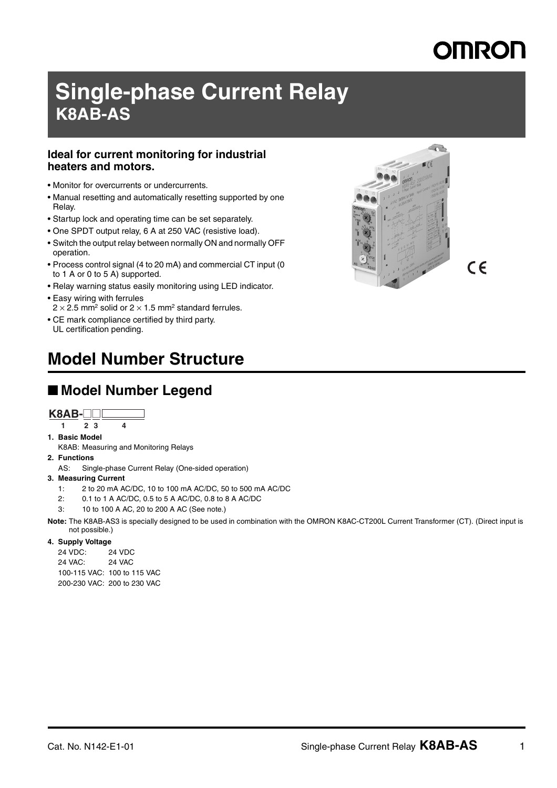# MRON

# **Single-phase Current Relay K8AB-AS**

#### **Ideal for current monitoring for industrial heaters and motors.**

- Monitor for overcurrents or undercurrents.
- Manual resetting and automatically resetting supported by one Relay.
- Startup lock and operating time can be set separately.
- One SPDT output relay, 6 A at 250 VAC (resistive load).
- Switch the output relay between normally ON and normally OFF operation.
- Process control signal (4 to 20 mA) and commercial CT input (0 to 1 A or 0 to 5 A) supported.
- Relay warning status easily monitoring using LED indicator.
- Easy wiring with ferrules  $2 \times 2.5$  mm<sup>2</sup> solid or  $2 \times 1.5$  mm<sup>2</sup> standard ferrules.
- CE mark compliance certified by third party. UL certification pending.

## **Model Number Structure**

### ■ **Model Number Legend**

#### **K8AB-**@@

- **1 23 4**
- **1. Basic Model** K8AB: Measuring and Monitoring Relays
- **2. Functions**
- AS: Single-phase Current Relay (One-sided operation)
- **3. Measuring Current**
	- 1: 2 to 20 mA AC/DC, 10 to 100 mA AC/DC, 50 to 500 mA AC/DC
	- 2: 0.1 to 1 A AC/DC, 0.5 to 5 A AC/DC, 0.8 to 8 A AC/DC
	- 3: 10 to 100 A AC, 20 to 200 A AC (See note.)

**Note:** The K8AB-AS3 is specially designed to be used in combination with the OMRON K8AC-CT200L Current Transformer (CT). (Direct input is not possible.)

#### **4. Supply Voltage**

24 VDC: 24 VDC 24 VAC: 24 VAC 100-115 VAC: 100 to 115 VAC 200-230 VAC: 200 to 230 VAC

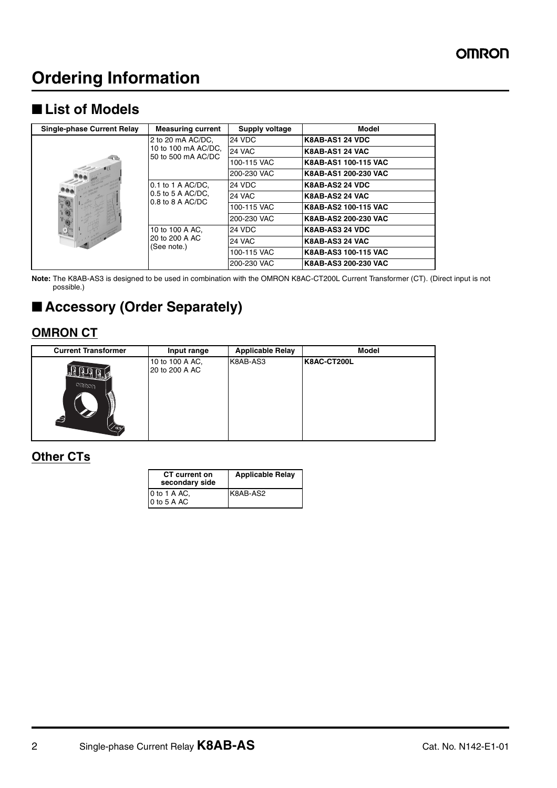## **Ordering Information**

### ■ **List of Models**

| Single-phase Current Relay | <b>Measuring current</b>                                       | Supply voltage | <b>Model</b>           |
|----------------------------|----------------------------------------------------------------|----------------|------------------------|
| $1$ (E<br><b>ANGEL</b>     | 2 to 20 mA AC/DC,<br>10 to 100 mA AC/DC,<br>50 to 500 mA AC/DC | 24 VDC         | <b>K8AB-AS1 24 VDC</b> |
|                            |                                                                | 24 VAC         | K8AB-AS1 24 VAC        |
|                            |                                                                | 100-115 VAC    | K8AB-AS1 100-115 VAC   |
|                            |                                                                | 200-230 VAC    | K8AB-AS1 200-230 VAC   |
|                            | $0.1$ to 1 A AC/DC,<br>0.5 to 5 A AC/DC,<br>$0.8$ to 8 A AC/DC | <b>24 VDC</b>  | <b>K8AB-AS2 24 VDC</b> |
|                            |                                                                | <b>24 VAC</b>  | K8AB-AS2 24 VAC        |
|                            |                                                                | 100-115 VAC    | K8AB-AS2 100-115 VAC   |
|                            |                                                                | 200-230 VAC    | K8AB-AS2 200-230 VAC   |
|                            | 10 to 100 A AC.<br>20 to 200 A AC<br>(See note.)               | <b>24 VDC</b>  | <b>K8AB-AS3 24 VDC</b> |
|                            |                                                                | <b>24 VAC</b>  | K8AB-AS3 24 VAC        |
|                            |                                                                | 100-115 VAC    | K8AB-AS3 100-115 VAC   |
|                            |                                                                | 200-230 VAC    | K8AB-AS3 200-230 VAC   |

**Note:** The K8AB-AS3 is designed to be used in combination with the OMRON K8AC-CT200L Current Transformer (CT). (Direct input is not possible.)

## ■ **Accessory (Order Separately)**

### **OMRON CT**

| <b>Current Transformer</b> | Input range                       | <b>Applicable Relay</b> | <b>Model</b> |
|----------------------------|-----------------------------------|-------------------------|--------------|
| <b>Oחפקורו</b><br>9<br>′ື  | 10 to 100 A AC,<br>20 to 200 A AC | K8AB-AS3                | K8AC-CT200L  |

#### **Other CTs**

| <b>CT</b> current on<br>secondary side | <b>Applicable Relay</b> |
|----------------------------------------|-------------------------|
| 0 to 1 A AC.<br>0 to 5 A AC            | K8AB-AS2                |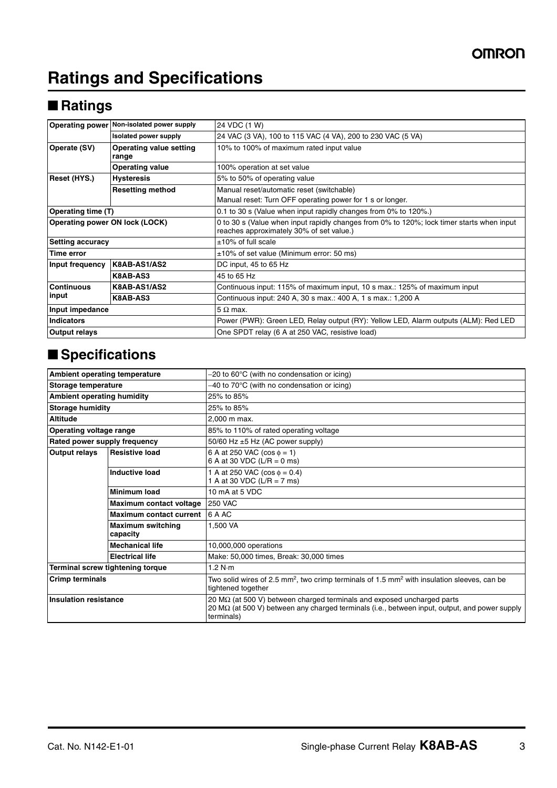## **Ratings and Specifications**

## ■ **Ratings**

|                                                         | Operating power Non-isolated power supply | 24 VDC (1 W)                                                                                                                          |  |  |
|---------------------------------------------------------|-------------------------------------------|---------------------------------------------------------------------------------------------------------------------------------------|--|--|
|                                                         | Isolated power supply                     | 24 VAC (3 VA), 100 to 115 VAC (4 VA), 200 to 230 VAC (5 VA)                                                                           |  |  |
| Operate (SV)<br><b>Operating value setting</b><br>range |                                           | 10% to 100% of maximum rated input value                                                                                              |  |  |
|                                                         | <b>Operating value</b>                    | 100% operation at set value                                                                                                           |  |  |
| Reset (HYS.)                                            | <b>Hysteresis</b>                         | 5% to 50% of operating value                                                                                                          |  |  |
|                                                         | <b>Resetting method</b>                   | Manual reset/automatic reset (switchable)                                                                                             |  |  |
|                                                         |                                           | Manual reset: Turn OFF operating power for 1 s or longer.                                                                             |  |  |
| Operating time (T)                                      |                                           | 0.1 to 30 s (Value when input rapidly changes from 0% to 120%.)                                                                       |  |  |
| Operating power ON lock (LOCK)                          |                                           | 0 to 30 s (Value when input rapidly changes from 0% to 120%; lock timer starts when input<br>reaches approximately 30% of set value.) |  |  |
| <b>Setting accuracy</b>                                 |                                           | $±10\%$ of full scale                                                                                                                 |  |  |
| Time error                                              |                                           | ±10% of set value (Minimum error: 50 ms)                                                                                              |  |  |
| Input frequency                                         | K8AB-AS1/AS2                              | DC input, 45 to 65 Hz                                                                                                                 |  |  |
|                                                         | K8AB-AS3                                  | 45 to 65 Hz                                                                                                                           |  |  |
| <b>Continuous</b>                                       | K8AB-AS1/AS2                              | Continuous input: 115% of maximum input, 10 s max.: 125% of maximum input                                                             |  |  |
| input                                                   | K8AB-AS3                                  | Continuous input: 240 A, 30 s max.: 400 A, 1 s max.: 1,200 A                                                                          |  |  |
| Input impedance                                         |                                           | $5 \Omega$ max.                                                                                                                       |  |  |
| <b>Indicators</b>                                       |                                           | Power (PWR): Green LED, Relay output (RY): Yellow LED, Alarm outputs (ALM): Red LED                                                   |  |  |
| <b>Output relays</b>                                    |                                           | One SPDT relay (6 A at 250 VAC, resistive load)                                                                                       |  |  |

## ■ **Specifications**

|                                                                 | Ambient operating temperature<br>$-20$ to 60 $\degree$ C (with no condensation or icing) |                                                                                                                                                                                                      |  |  |
|-----------------------------------------------------------------|------------------------------------------------------------------------------------------|------------------------------------------------------------------------------------------------------------------------------------------------------------------------------------------------------|--|--|
| Storage temperature                                             |                                                                                          | $-40$ to 70 $\degree$ C (with no condensation or icing)                                                                                                                                              |  |  |
| <b>Ambient operating humidity</b>                               |                                                                                          | 25% to 85%                                                                                                                                                                                           |  |  |
| <b>Storage humidity</b>                                         |                                                                                          | 25% to 85%                                                                                                                                                                                           |  |  |
| <b>Altitude</b>                                                 |                                                                                          | 2.000 m max.                                                                                                                                                                                         |  |  |
| <b>Operating voltage range</b>                                  |                                                                                          | 85% to 110% of rated operating voltage                                                                                                                                                               |  |  |
| Rated power supply frequency                                    |                                                                                          | 50/60 Hz $\pm$ 5 Hz (AC power supply)                                                                                                                                                                |  |  |
| Output relays<br><b>Resistive load</b><br><b>Inductive load</b> |                                                                                          | 6 A at 250 VAC ( $\cos \phi = 1$ )<br>6 A at 30 VDC (L/R = $0$ ms)                                                                                                                                   |  |  |
|                                                                 |                                                                                          | 1 A at 250 VAC ( $\cos \phi = 0.4$ )<br>1 A at 30 VDC (L/R = 7 ms)                                                                                                                                   |  |  |
|                                                                 | <b>Minimum load</b>                                                                      | 10 mA at 5 VDC                                                                                                                                                                                       |  |  |
|                                                                 | Maximum contact voltage                                                                  | <b>250 VAC</b>                                                                                                                                                                                       |  |  |
|                                                                 | <b>Maximum contact current</b>                                                           | 6 A AC                                                                                                                                                                                               |  |  |
|                                                                 | <b>Maximum switching</b><br>capacity                                                     | 1.500 VA                                                                                                                                                                                             |  |  |
|                                                                 | <b>Mechanical life</b>                                                                   | 10,000,000 operations                                                                                                                                                                                |  |  |
|                                                                 | <b>Electrical life</b>                                                                   | Make: 50,000 times, Break: 30,000 times                                                                                                                                                              |  |  |
|                                                                 | Terminal screw tightening torque                                                         | 1.2 N·m                                                                                                                                                                                              |  |  |
| <b>Crimp terminals</b>                                          |                                                                                          | Two solid wires of 2.5 mm <sup>2</sup> , two crimp terminals of 1.5 mm <sup>2</sup> with insulation sleeves, can be<br>tightened together                                                            |  |  |
| <b>Insulation resistance</b>                                    |                                                                                          | 20 $M\Omega$ (at 500 V) between charged terminals and exposed uncharged parts<br>20 M $\Omega$ (at 500 V) between any charged terminals (i.e., between input, output, and power supply<br>terminals) |  |  |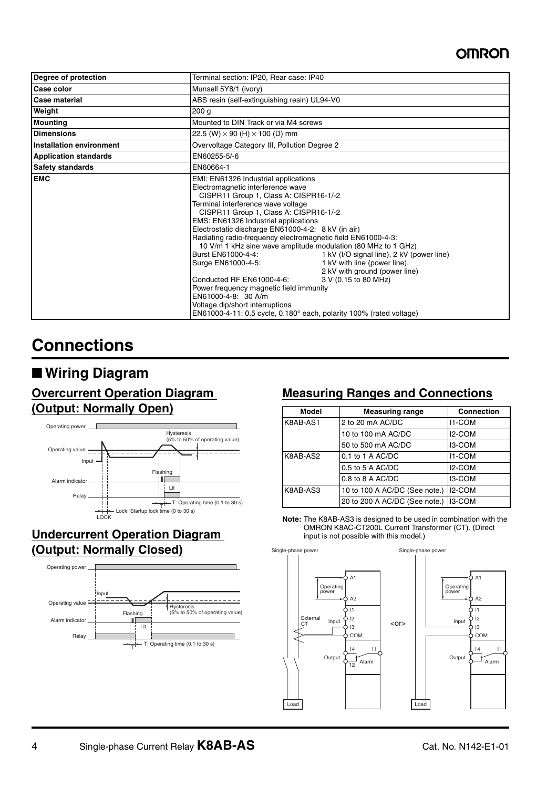### **OMRON**

| Degree of protection         | Terminal section: IP20, Rear case: IP40                                                                                                                                                                                                                                                                                                                                                                                                                                                                                                                                                                                                                                                                                                                                                                                       |  |  |
|------------------------------|-------------------------------------------------------------------------------------------------------------------------------------------------------------------------------------------------------------------------------------------------------------------------------------------------------------------------------------------------------------------------------------------------------------------------------------------------------------------------------------------------------------------------------------------------------------------------------------------------------------------------------------------------------------------------------------------------------------------------------------------------------------------------------------------------------------------------------|--|--|
| Case color                   | Munsell 5Y8/1 (ivory)                                                                                                                                                                                                                                                                                                                                                                                                                                                                                                                                                                                                                                                                                                                                                                                                         |  |  |
| <b>Case material</b>         | ABS resin (self-extinguishing resin) UL94-V0                                                                                                                                                                                                                                                                                                                                                                                                                                                                                                                                                                                                                                                                                                                                                                                  |  |  |
| Weight                       | 200 <sub>g</sub>                                                                                                                                                                                                                                                                                                                                                                                                                                                                                                                                                                                                                                                                                                                                                                                                              |  |  |
| <b>Mounting</b>              | Mounted to DIN Track or via M4 screws                                                                                                                                                                                                                                                                                                                                                                                                                                                                                                                                                                                                                                                                                                                                                                                         |  |  |
| <b>Dimensions</b>            | 22.5 (W) $\times$ 90 (H) $\times$ 100 (D) mm                                                                                                                                                                                                                                                                                                                                                                                                                                                                                                                                                                                                                                                                                                                                                                                  |  |  |
| Installation environment     | Overvoltage Category III, Pollution Degree 2                                                                                                                                                                                                                                                                                                                                                                                                                                                                                                                                                                                                                                                                                                                                                                                  |  |  |
| <b>Application standards</b> | EN60255-5/-6                                                                                                                                                                                                                                                                                                                                                                                                                                                                                                                                                                                                                                                                                                                                                                                                                  |  |  |
| <b>Safety standards</b>      | EN60664-1                                                                                                                                                                                                                                                                                                                                                                                                                                                                                                                                                                                                                                                                                                                                                                                                                     |  |  |
| <b>EMC</b>                   | EMI: EN61326 Industrial applications<br>Electromagnetic interference wave<br>CISPR11 Group 1, Class A: CISPR16-1/-2<br>Terminal interference wave voltage<br>CISPR11 Group 1, Class A: CISPR16-1/-2<br>EMS: EN61326 Industrial applications<br>Electrostatic discharge EN61000-4-2: 8 kV (in air)<br>Radiating radio-frequency electromagnetic field EN61000-4-3:<br>10 V/m 1 kHz sine wave amplitude modulation (80 MHz to 1 GHz)<br>Burst EN61000-4-4:<br>1 kV (I/O signal line), 2 kV (power line)<br>1 kV with line (power line),<br>Surge EN61000-4-5:<br>2 kV with ground (power line)<br>Conducted RF EN61000-4-6:<br>3 V (0.15 to 80 MHz)<br>Power frequency magnetic field immunity<br>EN61000-4-8: 30 A/m<br>Voltage dip/short interruptions<br>EN61000-4-11: 0.5 cycle, 0.180° each, polarity 100% (rated voltage) |  |  |

## **Connections**

### ■ **Wiring Diagram**

### **Overcurrent Operation Diagram (Output: Normally Open)**



### **Undercurrent Operation Diagram (Output: Normally Closed)**



### **Measuring Ranges and Connections**

| Model    | <b>Measuring range</b>        | <b>Connection</b>   |  |
|----------|-------------------------------|---------------------|--|
| K8AB-AS1 | 2 to 20 mA AC/DC              | <b>I1-COM</b>       |  |
|          | 10 to 100 mA AC/DC            | <b>I2-COM</b>       |  |
|          | 50 to 500 mA AC/DC            | <b>I3-COM</b>       |  |
| K8AB-AS2 | $0.1$ to 1 A AC/DC            | <b>I1-COM</b>       |  |
|          | 0.5 to 5 A AC/DC              | I <sub>2</sub> -COM |  |
|          | $0.8$ to 8 A AC/DC            | I3-COM              |  |
| K8AB-AS3 | 10 to 100 A AC/DC (See note.) | I2-COM              |  |
|          | 20 to 200 A AC/DC (See note.) | I3-COM              |  |



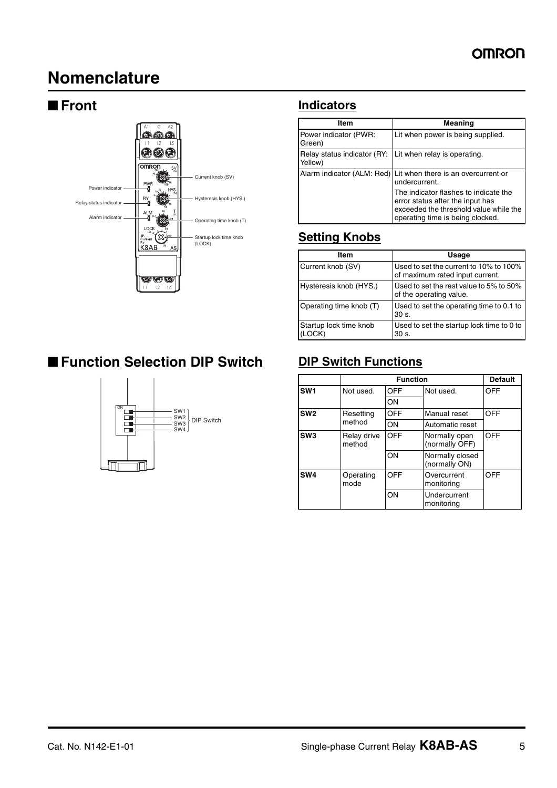## **Nomenclature**



### ■ **Function Selection DIP Switch** DIP Switch Functions



### ■ **Front Indicators**

| ltem                                   | <b>Meaning</b>                                                                                                                                          |
|----------------------------------------|---------------------------------------------------------------------------------------------------------------------------------------------------------|
| Power indicator (PWR:<br>Green)        | Lit when power is being supplied.                                                                                                                       |
| Relay status indicator (RY:<br>Yellow) | Lit when relay is operating.                                                                                                                            |
|                                        | Alarm indicator (ALM: Red)   Lit when there is an overcurrent or<br>undercurrent.                                                                       |
|                                        | The indicator flashes to indicate the<br>error status after the input has<br>exceeded the threshold value while the<br>operating time is being clocked. |

### **Setting Knobs**

| Item                          | Usage                                                                     |
|-------------------------------|---------------------------------------------------------------------------|
| Current knob (SV)             | Used to set the current to 10% to 100%<br>of maximum rated input current. |
| Hysteresis knob (HYS.)        | Used to set the rest value to 5% to 50%<br>of the operating value.        |
| Operating time knob (T)       | Used to set the operating time to 0.1 to<br>$30s$ .                       |
| Startup lock time knob<br>OCK | Used to set the startup lock time to 0 to<br>30 s.                        |

|                                          |                   | <b>Function</b>     |                                  |            |
|------------------------------------------|-------------------|---------------------|----------------------------------|------------|
| SW <sub>1</sub>                          | Not used.         | OFF                 | Not used.                        | OFF        |
|                                          |                   | ON                  |                                  |            |
| SW <sub>2</sub>                          | Resetting         | OFF<br>Manual reset |                                  | <b>OFF</b> |
|                                          | method            | ON                  | Automatic reset                  |            |
| SW <sub>3</sub><br>Relay drive<br>method |                   | <b>OFF</b>          | Normally open<br>(normally OFF)  | <b>OFF</b> |
|                                          |                   | ON                  | Normally closed<br>(normally ON) |            |
| SW <sub>4</sub>                          | Operating<br>mode | OFF                 | Overcurrent<br>monitoring        | OFF        |
|                                          |                   | ON                  | Undercurrent<br>monitoring       |            |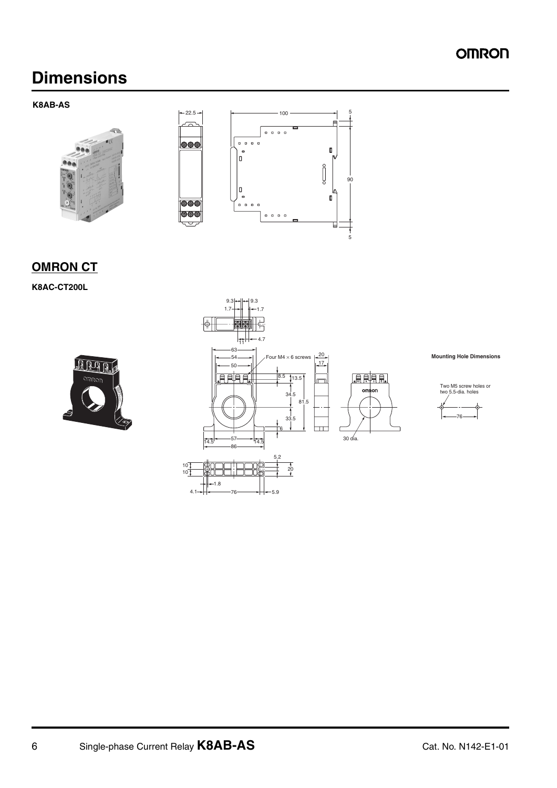### **OMRON**

## **Dimensions**

**K8AB-AS**



10 10

### **OMRON CT**

**K8AC-CT200L**





**Mounting Hole Dimensions**



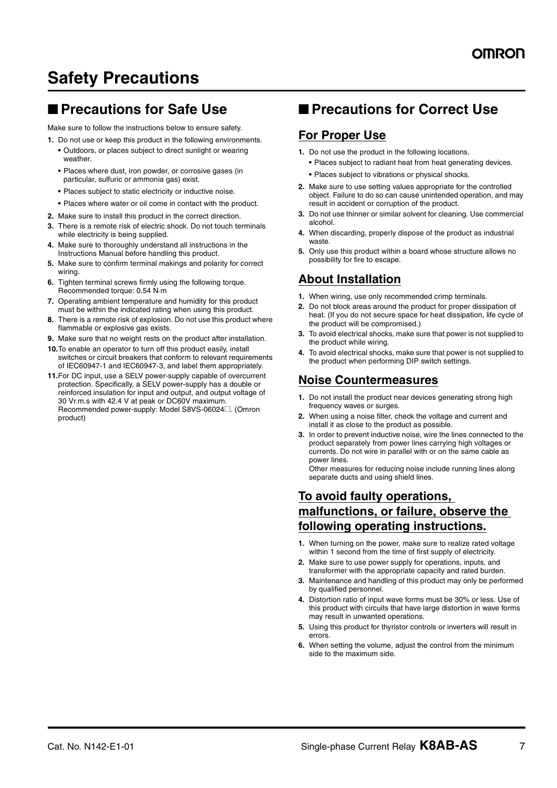## **Safety Precautions**

### ■ **Precautions for Safe Use**

Make sure to follow the instructions below to ensure safety.

- **1.** Do not use or keep this product in the following environments.
	- **•** Outdoors, or places subject to direct sunlight or wearing weather.
	- **•** Places where dust, iron powder, or corrosive gases (in particular, sulfuric or ammonia gas) exist.
	- **•** Places subject to static electricity or inductive noise.
	- **•** Places where water or oil come in contact with the product.
- **2.** Make sure to install this product in the correct direction.
- **3.** There is a remote risk of electric shock. Do not touch terminals while electricity is being supplied.
- **4.** Make sure to thoroughly understand all instructions in the Instructions Manual before handling this product.
- **5.** Make sure to confirm terminal makings and polarity for correct wiring.
- **6.** Tighten terminal screws firmly using the following torque. Recommended torque: 0.54 N·m
- **7.** Operating ambient temperature and humidity for this product must be within the indicated rating when using this product.
- **8.** There is a remote risk of explosion. Do not use this product where flammable or explosive gas exists.
- **9.** Make sure that no weight rests on the product after installation.
- **10.**To enable an operator to turn off this product easily, install switches or circuit breakers that conform to relevant requirements of IEC60947-1 and IEC60947-3, and label them appropriately.
- **11.**For DC input, use a SELV power-supply capable of overcurrent protection. Specifically, a SELV power-supply has a double or reinforced insulation for input and output, and output voltage of 30 Vr.m.s with 42.4 V at peak or DC60V maximum. Recommended power-supply: Model S8VS-06024@. (Omron product)

### ■ **Precautions for Correct Use**

#### **For Proper Use**

- **1.** Do not use the product in the following locations.
	- **•** Places subject to radiant heat from heat generating devices.
	- **•** Places subject to vibrations or physical shocks.
- **2.** Make sure to use setting values appropriate for the controlled object. Failure to do so can cause unintended operation, and may result in accident or corruption of the product.
- **3.** Do not use thinner or similar solvent for cleaning. Use commercial alcohol.
- **4.** When discarding, properly dispose of the product as industrial waste.
- **5.** Only use this product within a board whose structure allows no possibility for fire to escape.

#### **About Installation**

- **1.** When wiring, use only recommended crimp terminals.
- **2.** Do not block areas around the product for proper dissipation of heat. (If you do not secure space for heat dissipation, life cycle of the product will be compromised.)
- **3.** To avoid electrical shocks, make sure that power is not supplied to the product while wiring.
- **4.** To avoid electrical shocks, make sure that power is not supplied to the product when performing DIP switch settings.

#### **Noise Countermeasures**

- **1.** Do not install the product near devices generating strong high frequency waves or surges.
- **2.** When using a noise filter, check the voltage and current and install it as close to the product as possible.
- **3.** In order to prevent inductive noise, wire the lines connected to the product separately from power lines carrying high voltages or currents. Do not wire in parallel with or on the same cable as power lines.

Other measures for reducing noise include running lines along separate ducts and using shield lines.

#### **To avoid faulty operations, malfunctions, or failure, observe the following operating instructions.**

- **1.** When turning on the power, make sure to realize rated voltage within 1 second from the time of first supply of electricity.
- **2.** Make sure to use power supply for operations, inputs, and transformer with the appropriate capacity and rated burden.
- **3.** Maintenance and handling of this product may only be performed by qualified personnel.
- **4.** Distortion ratio of input wave forms must be 30% or less. Use of this product with circuits that have large distortion in wave forms may result in unwanted operations.
- **5.** Using this product for thyristor controls or inverters will result in errors.
- **6.** When setting the volume, adjust the control from the minimum side to the maximum side.